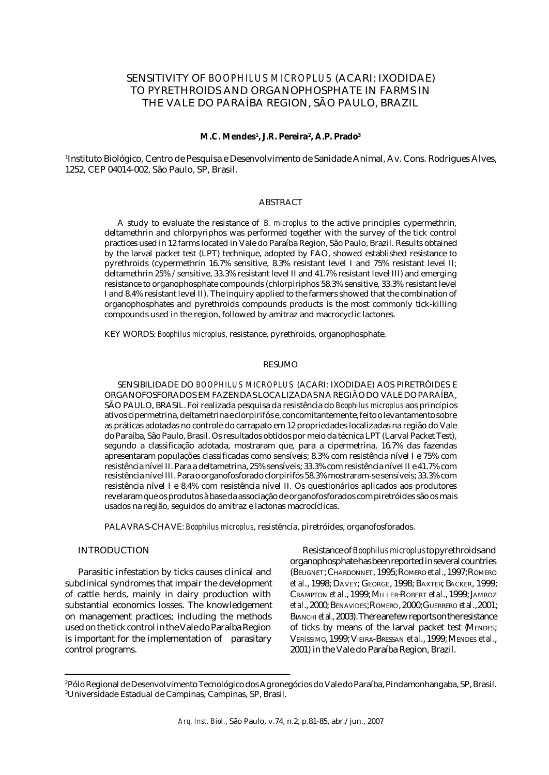# SENSITIVITY OF *BOOPHILUS MICROPLUS* (ACARI: IXODIDAE) TO PYRETHROIDS AND ORGANOPHOSPHATE IN FARMS IN THE VALE DO PARAÍBA REGION, SÃO PAULO, BRAZIL

### **M.C. Mendes<sup>1</sup> , J.R. Pereira<sup>2</sup> , A.P. Prado<sup>3</sup>**

1 Instituto Biológico, Centro de Pesquisa e Desenvolvimento de Sanidade Animal, Av. Cons. Rodrigues Alves, 1252, CEP 04014-002, São Paulo, SP, Brasil.

## ABSTRACT

A study to evaluate the resistance of *B. microplus* to the active principles cypermethrin, deltamethrin and chlorpyriphos was performed together with the survey of the tick control practices used in 12 farms located in Vale do Paraíba Region, São Paulo, Brazil. Results obtained by the larval packet test (LPT) technique, adopted by FAO, showed established resistance to pyrethroids (cypermethrin 16.7% sensitive, 8.3% resistant level I and 75% resistant level II; deltamethrin 25% /sensitive, 33.3% resistant level II and 41.7% resistant level III) and emerging resistance to organophosphate compounds (chlorpiriphos 58.3% sensitive, 33.3% resistant level I and 8.4% resistant level II). The inquiry applied to the farmers showed that the combination of organophosphates and pyrethroids compounds products is the most commonly tick-killing compounds used in the region, followed by amitraz and macrocyclic lactones.

KEY WORDS: *Boophilus microplus*, resistance, pyrethroids, organophosphate.

### RESUMO

SENSIBILIDADE DO *BOOPHILUS MICROPLUS* (ACARI: IXODIDAE) AOS PIRETRÓIDES E ORGANOFOSFORADOS EM FAZENDAS LOCALIZADAS NA REGIÃO DO VALE DO PARAÍBA, SÃO PAULO, BRASIL. Foi realizada pesquisa da resistência do *Boophilus microplus* aos princípios ativos cipermetrina, deltametrina e clorpirifós e, concomitantemente, feito o levantamento sobre as práticas adotadas no controle do carrapato em 12 propriedades localizadas na região do Vale do Paraíba, São Paulo, Brasil. Os resultados obtidos por meio da técnica LPT (Larval Packet Test), segundo a classificação adotada, mostraram que, para a cipermetrina, 16.7% das fazendas apresentaram populações classificadas como sensíveis; 8.3% com resistência nível I e 75% com resistência nível II. Para a deltametrina, 25% sensíveis; 33.3% com resistência nível II e 41.7% com resistência nível III. Para o organofosforado clorpirifós 58.3% mostraram-se sensíveis; 33.3% com resistência nível I e 8.4% com resistência nível II. Os questionários aplicados aos produtores revelaram que os produtos à base da associação de organofosforados com piretróides são os mais usados na região, seguidos do amitraz e lactonas macrocíclicas.

PALAVRAS-CHAVE: *Boophilus microplus*, resistência, piretróides, organofosforados.

## INTRODUCTION

Parasitic infestation by ticks causes clinical and subclinical syndromes that impair the development of cattle herds, mainly in dairy production with substantial economics losses. The knowledgement on management practices; including the methods used on the tick control in the Vale do Paraíba Region is important for the implementation of parasitary control programs.

Resistance of *Boophilus microplus* to pyrethroids and organophosphate has been reported in several countries (BEUGNET;CHARDONNET, 1995; ROMERO *et al*., 1997; ROMERO *et al*., 1998; DAVEY; GEORGE, 1998; BAXTER; BACKER, 1999; CRAMPTON *et al*., 1999; MILLER-ROBERT *et al*., 1999; JAMROZ *et al*., 2000; BENAVIDES; ROMERO, 2000; GUERRERO *et al*., 2001; BIANCHI*et al.,* 2003). There are few reports on the resistance of ticks by means of the larval packet test (MENDES; VERÍSSIMO, 1999; VIEIRA-BRESSAN *et al*., 1999; MENDES *et al*., 2001) in the Vale do Paraíba Region, Brazil.

<sup>2</sup>Pólo Regional de Desenvolvimento Tecnológico dos Agronegócios do Vale do Paraíba, Pindamonhangaba, SP, Brasil. <sup>3</sup>Universidade Estadual de Campinas, Campinas, SP, Brasil.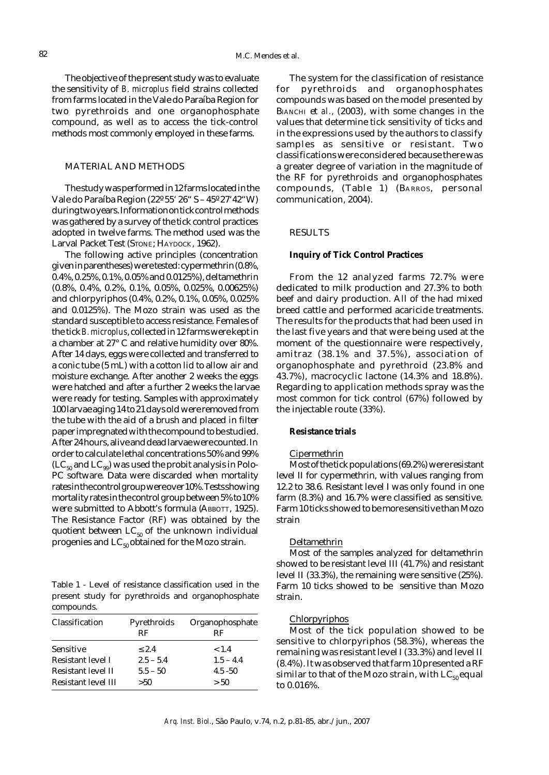The objective of the present study was to evaluate the sensitivity of *B. microplus* field strains collected from farms located in the Vale do Paraíba Region for two pyrethroids and one organophosphate compound, as well as to access the tick-control methods most commonly employed in these farms.

## MATERIAL AND METHODS

The study was performed in 12 farms located in the Vale do Paraíba Region (22º 55' 26" S – 45º 27'42"W) during two years. Information on tick control methods was gathered by a survey of the tick control practices adopted in twelve farms. The method used was the Larval Packet Test (STONE; HAYDOCK, 1962).

The following active principles (concentration given in parentheses) were tested: cypermethrin (0.8%, 0.4%, 0.25%, 0.1%, 0.05% and 0.0125%), deltamethrin (0.8%, 0.4%, 0.2%, 0.1%, 0.05%, 0.025%, 0.00625%) and chlorpyriphos (0.4%, 0.2%, 0.1%, 0.05%, 0.025% and 0.0125%). The Mozo strain was used as the standard susceptible to access resistance. Females of the tick *B. microplus*, collected in 12 farms were kept in a chamber at 27° C and relative humidity over 80%. After 14 days, eggs were collected and transferred to a conic tube (5 mL) with a cotton lid to allow air and moisture exchange. After another 2 weeks the eggs were hatched and after a further 2 weeks the larvae were ready for testing. Samples with approximately 100 larvae aging 14 to 21 days old were removed from the tube with the aid of a brush and placed in filter paper impregnated with the compound to be studied. After 24 hours, alive and dead larvae were counted. In order to calculate lethal concentrations 50% and 99%  $(LC_{50}$  and  $LC_{99}$ ) was used the probit analysis in Polo-PC software. Data were discarded when mortality rates in the control group were over 10%. Tests showing mortality rates in the control group between 5% to 10% were submitted to Abbott's formula (ABBOTT, 1925). The Resistance Factor (RF) was obtained by the quotient between  $LC_{50}$  of the unknown individual progenies and  $LC_{50}$  obtained for the Mozo strain.

Table 1 - Level of resistance classification used in the present study for pyrethroids and organophosphate compounds.

| Classification      | Pyrethroids<br>RF | Organophosphate<br>RF |
|---------------------|-------------------|-----------------------|
| Sensitive           | ${}_{2.4}$        | < 1.4                 |
| Resistant level I   | $2.5 - 5.4$       | $1.5 - 4.4$           |
| Resistant level II  | $5.5 - 50$        | $4.5 - 50$            |
| Resistant level III | >50               | > 50                  |

The system for the classification of resistance for pyrethroids and organophosphates compounds was based on the model presented by BIANCHI et *al.,* (2003), with some changes in the values that determine tick sensitivity of ticks and in the expressions used by the authors to classify samples as sensitive or resistant. Two classifications were considered because there was a greater degree of variation in the magnitude of the RF for pyrethroids and organophosphates compounds, (Table 1) (BARROS, personal communication, 2004).

## RESULTS

## **Inquiry of Tick Control Practices**

From the 12 analyzed farms 72.7% were dedicated to milk production and 27.3% to both beef and dairy production. All of the had mixed breed cattle and performed acaricide treatments. The results for the products that had been used in the last five years and that were being used at the moment of the questionnaire were respectively, amitraz (38.1% and 37.5%), association of organophosphate and pyrethroid (23.8% and 43.7%), macrocyclic lactone (14.3% and 18.8%). Regarding to application methods spray was the most common for tick control (67%) followed by the injectable route (33%).

## **Resistance trials**

### Cipermethrin

Most of the tick populations (69.2%) were resistant level II for cypermethrin, with values ranging from 12.2 to 38.6. Resistant level I was only found in one farm (8.3%) and 16.7% were classified as sensitive. Farm 10 ticks showed to be more sensitive than Mozo strain

#### Deltamethrin

Most of the samples analyzed for deltamethrin showed to be resistant level III (41.7%) and resistant level II (33.3%), the remaining were sensitive (25%). Farm 10 ticks showed to be sensitive than Mozo strain.

### Chlorpyriphos

Most of the tick population showed to be sensitive to chlorpyriphos (58.3%), whereas the remaining was resistant level I (33.3%) and level II (8.4%). It was observed that farm 10 presented a RF similar to that of the Mozo strain, with  $LC_{50}$  equal to 0.016%.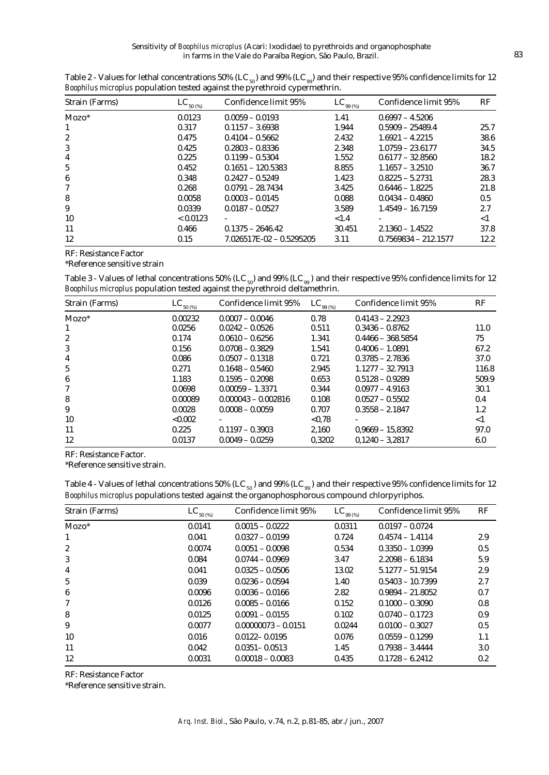| Strain (Farms)   | $LC_{\frac{50~(%)}{20~(%)} }$ | Confidence limit 95%       | $LC_{_{99(%)}}$ | Confidence limit 95%   | RF       |
|------------------|-------------------------------|----------------------------|-----------------|------------------------|----------|
| $Mozo^*$         | 0.0123                        | $0.0059 - 0.0193$          | 1.41            | $0.6997 - 4.5206$      |          |
| 1                | 0.317                         | $0.1157 - 3.6938$          | 1.944           | $0.5909 - 25489.4$     | 25.7     |
| $\boldsymbol{2}$ | 0.475                         | $0.4104 - 0.5662$          | 2.432           | $1.6921 - 4.2215$      | 38.6     |
| 3                | 0.425                         | $0.2803 - 0.8336$          | 2.348           | $1.0759 - 23.6177$     | 34.5     |
| 4                | 0.225                         | $0.1199 - 0.5304$          | 1.552           | $0.6177 - 32.8560$     | 18.2     |
| 5                | 0.452                         | $0.1651 - 120.5383$        | 8.855           | $1.1657 - 3.2510$      | 36.7     |
| 6                | 0.348                         | $0.2427 - 0.5249$          | 1.423           | $0.8225 - 5.2731$      | 28.3     |
| 7                | 0.268                         | $0.0791 - 28.7434$         | 3.425           | $0.6446 - 1.8225$      | 21.8     |
| 8                | 0.0058                        | $0.0003 - 0.0145$          | 0.088           | $0.0434 - 0.4860$      | 0.5      |
| 9                | 0.0339                        | $0.0187 - 0.0527$          | 3.589           | $1.4549 - 16.7159$     | 2.7      |
| 10               | < 0.0123                      |                            | < 1.4           |                        | $\leq$ 1 |
| 11               | 0.466                         | $0.1375 - 2646.42$         | 30.451          | $2.1360 - 1.4522$      | 37.8     |
| 12               | 0.15                          | $7.026517E-02 - 0.5295205$ | 3.11            | $0.7569834 - 212.1577$ | 12.2     |

Table 2 - Values for lethal concentrations 50% (LC<sub>50</sub>) and 99% (LC<sub>99</sub>) and their respective 95% confidence limits for 12 *Boophilus microplus* population tested against the pyrethroid cypermethrin.

RF: Resistance Factor

\*Reference sensitive strain

Table 3 - Values of lethal concentrations 50% (LC  $_{\rm 50}$ ) and 99% (LC  $_{\rm 99}$ ) and their respective 95% confidence limits for 12 *Boophilus microplus* population tested against the pyrethroid deltamethrin.

| Strain (Farms)   | $LC_{\frac{50~(%)}{}}$ | Confidence limit 95%  | $LC_{99(%)}$ | Confidence limit 95% | RF       |
|------------------|------------------------|-----------------------|--------------|----------------------|----------|
| $Mozo^*$         | 0.00232                | $0.0007 - 0.0046$     | 0.78         | $0.4143 - 2.2923$    |          |
| 1                | 0.0256                 | $0.0242 - 0.0526$     | 0.511        | $0.3436 - 0.8762$    | 11.0     |
| $\boldsymbol{2}$ | 0.174                  | $0.0610 - 0.6256$     | 1.341        | $0.4466 - 368.5854$  | 75       |
| 3                | 0.156                  | $0.0708 - 0.3829$     | 1.541        | $0.4006 - 1.0891$    | 67.2     |
| 4                | 0.086                  | $0.0507 - 0.1318$     | 0.721        | $0.3785 - 2.7836$    | 37.0     |
| 5                | 0.271                  | $0.1648 - 0.5460$     | 2.945        | $1.1277 - 32.7913$   | 116.8    |
| 6                | 1.183                  | $0.1595 - 0.2098$     | 0.653        | $0.5128 - 0.9289$    | 509.9    |
| 7                | 0.0698                 | $0.00059 - 1.3371$    | 0.344        | $0.0977 - 4.9163$    | 30.1     |
| 8                | 0.00089                | $0.000043 - 0.002816$ | 0.108        | $0.0527 - 0.5502$    | 0.4      |
| 9                | 0.0028                 | $0.0008 - 0.0059$     | 0.707        | $0.3558 - 2.1847$    | $1.2\,$  |
| 10               | < 0.002                |                       | < 0.78       |                      | $\leq$ 1 |
| 11               | 0.225                  | $0.1197 - 0.3903$     | 2,160        | $0.9669 - 15.8392$   | 97.0     |
| 12               | 0.0137                 | $0.0049 - 0.0259$     | 0.3202       | $0.1240 - 3.2817$    | 6.0      |

RF: Resistance Factor.

\*Reference sensitive strain.

| Table 4 - Values of lethal concentrations 50% (LC <sub>50</sub> ) and 99% (LC <sub>99</sub> ) and their respective 95% confidence limits for 12 |  |
|-------------------------------------------------------------------------------------------------------------------------------------------------|--|
| Boophilus microplus populations tested against the organophosphorous compound chlorpyriphos.                                                    |  |

| Strain (Farms) | $\text{LC}_{_{50\,( \%)}}$ | Confidence limit 95%  | $\text{LC}_{_{99\,( \%)}}$ | Confidence limit 95% | RF  |
|----------------|----------------------------|-----------------------|----------------------------|----------------------|-----|
| $Mozo^*$       | 0.0141                     | $0.0015 - 0.0222$     | 0.0311                     | $0.0197 - 0.0724$    |     |
| $\mathbf{1}$   | 0.041                      | $0.0327 - 0.0199$     | 0.724                      | $0.4574 - 1.4114$    | 2.9 |
| 2              | 0.0074                     | $0.0051 - 0.0098$     | 0.534                      | $0.3350 - 1.0399$    | 0.5 |
| 3              | 0.084                      | $0.0744 - 0.0969$     | 3.47                       | $2.2098 - 6.1834$    | 5.9 |
| 4              | 0.041                      | $0.0325 - 0.0506$     | 13.02                      | $5.1277 - 51.9154$   | 2.9 |
| 5              | 0.039                      | $0.0236 - 0.0594$     | 1.40                       | $0.5403 - 10.7399$   | 2.7 |
| 6              | 0.0096                     | $0.0036 - 0.0166$     | 2.82                       | $0.9894 - 21.8052$   | 0.7 |
| 7              | 0.0126                     | $0.0085 - 0.0166$     | 0.152                      | $0.1000 - 0.3090$    | 0.8 |
| 8              | 0.0125                     | $0.0091 - 0.0155$     | 0.102                      | $0.0740 - 0.1723$    | 0.9 |
| 9              | 0.0077                     | $0.00000073 - 0.0151$ | 0.0244                     | $0.0100 - 0.3027$    | 0.5 |
| 10             | 0.016                      | $0.0122 - 0.0195$     | 0.076                      | $0.0559 - 0.1299$    | 1.1 |
| 11             | 0.042                      | $0.0351 - 0.0513$     | 1.45                       | $0.7938 - 3.4444$    | 3.0 |
| 12             | 0.0031                     | $0.00018 - 0.0083$    | 0.435                      | $0.1728 - 6.2412$    | 0.2 |
|                |                            |                       |                            |                      |     |

RF: Resistance Factor

\*Reference sensitive strain.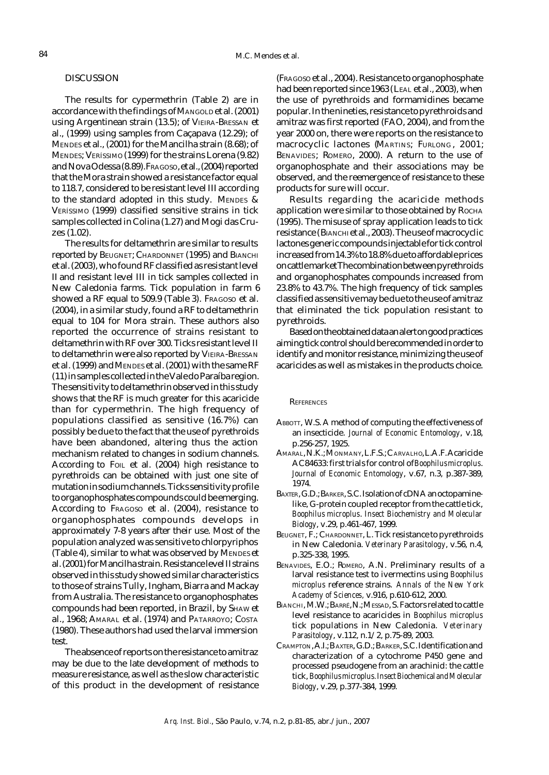## DISCUSSION

The results for cypermethrin (Table 2) are in accordance with the findings of MANGOLD et al. (2001) using Argentinean strain (13.5); of VIEIRA-BRESSAN et al., (1999) using samples from Caçapava (12.29); of MENDES et al., (2001) for the Mancilha strain (8.68); of MENDES; VERÍSSIMO (1999) for the strains Lorena (9.82) and Nova Odessa (8.89). FRAGOSO, et al., (2004) reported that the Mora strain showed a resistance factor equal to 118.7, considered to be resistant level III according to the standard adopted in this study. MENDES & VERÍSSIMO (1999) classified sensitive strains in tick samples collected in Colina (1.27) and Mogi das Cruzes (1.02).

The results for deltamethrin are similar to results reported by BEUGNET; CHARDONNET (1995) and BIANCHI et al. (2003), who found RF classified as resistant level II and resistant level III in tick samples collected in New Caledonia farms. Tick population in farm 6 showed a RF equal to 509.9 (Table 3). FRAGOSO et al. (2004), in a similar study, found a RF to deltamethrin equal to 104 for Mora strain. These authors also reported the occurrence of strains resistant to deltamethrin with RF over 300. Ticks resistant level II to deltamethrin were also reported by VIEIRA-BRESSAN et al. (1999) and MENDES et al. (2001) with the same RF (11) in samples collected in the Vale do Paraíba region. The sensitivity to deltamethrin observed in this study shows that the RF is much greater for this acaricide than for cypermethrin. The high frequency of populations classified as sensitive (16.7%) can possibly be due to the fact that the use of pyrethroids have been abandoned, altering thus the action mechanism related to changes in sodium channels. According to Fo<sub>IL</sub> et al. (2004) high resistance to pyrethroids can be obtained with just one site of mutation in sodium channels. Ticks sensitivity profile to organophosphates compounds could be emerging. According to FRAGOSO et al. (2004), resistance to organophosphates compounds develops in approximately 7-8 years after their use. Most of the population analyzed was sensitive to chlorpyriphos (Table 4), similar to what was observed by MENDES et al. (2001) for Mancilha strain. Resistance level IIstrains observed in this study showed similar characteristics to those of strains Tully, Ingham, Biarra and Mackay from Australia. The resistance to organophosphates compounds had been reported, in Brazil, by SHAW et al., 1968; AMARAL et al. (1974) and PATARROYO; COSTA (1980). These authors had used the larval immersion test.

The absence of reports on the resistance to amitraz may be due to the late development of methods to measure resistance, as well as the slow characteristic of this product in the development of resistance (FRAGOSO et al., 2004). Resistance to organophosphate had been reported since 1963 (LEAL et al., 2003), when the use of pyrethroids and formamidines became popular. In the nineties, resistance to pyrethroids and amitraz was first reported (FAO, 2004), and from the year 2000 on, there were reports on the resistance to macrocyclic lactones (MARTINS; FURLONG, 2001; BENAVIDES; ROMERO, 2000). A return to the use of organophosphate and their associations may be observed, and the reemergence of resistance to these products for sure will occur.

Results regarding the acaricide methods application were similar to those obtained by ROCHA (1995). The misuse of spray application leads to tick resistance (BIANCHI et al., 2003). The use of macrocyclic lactones generic compounds injectable for tick control increased from 14.3% to 18.8% due to affordable prices on cattle market The combination between pyrethroids and organophosphates compounds increased from 23.8% to 43.7%. The high frequency of tick samples classified as sensitive may be due to the use of amitraz that eliminated the tick population resistant to pyrethroids.

Based on the obtained data an alert on good practices aiming tick control should be recommended in order to identify and monitor resistance, minimizing the use of acaricides as well as mistakes in the products choice.

### **REFERENCES**

- ABBOTT, W.S. A method of computing the effectiveness of an insecticide. *Journal of Economic Entomology*, v.18, p.256-257, 1925.
- AMARAL, N.K.; MONMANY, L.F.S.; CARVALHO, L.A.F. Acaricide AC84633: first trials for control of *Boophilus microplus*. *Journal of Economic Entomology*, v.67, n.3, p.387-389, 1974.
- BAXTER, G.D.; BARKER, S.C. Isolation of cDNA an octopaminelike, G-protein coupled receptor from the cattle tick, *Boophilus microplus*. *Insect Biochemistry and Molecular Biology*, v.29, p.461-467, 1999.
- BEUGNET, F.; CHARDONNET, L. Tick resistance to pyrethroids in New Caledonia. *Veterinary Parasitology*, v.56, n.4, p.325-338, 1995.
- BENAVIDES, E.O.; ROMERO, A.N. Preliminary results of a larval resistance test to ivermectins using *Boophilus microplus* reference strains. *Annals of the New York Academy of Sciences,* v.916, p.610-612, 2000.
- BIANCHI, M.W.; BARRÉ, N.; MESSAD, S. Factors related to cattle level resistance to acaricides in *Boophilus microplus* tick populations in New Caledonia. *Veterinary Parasitology*, v.112, n.1/2, p.75-89, 2003.
- CRAMPTON, A.I.; B AXTER, G.D.; BARKER, S.C. Identification and characterization of a cytochrome P450 gene and processed pseudogene from an arachinid: the cattle tick, *Boophilus microplus. Insect Biochemical and Molecular Biology*, v.29, p.377-384, 1999.